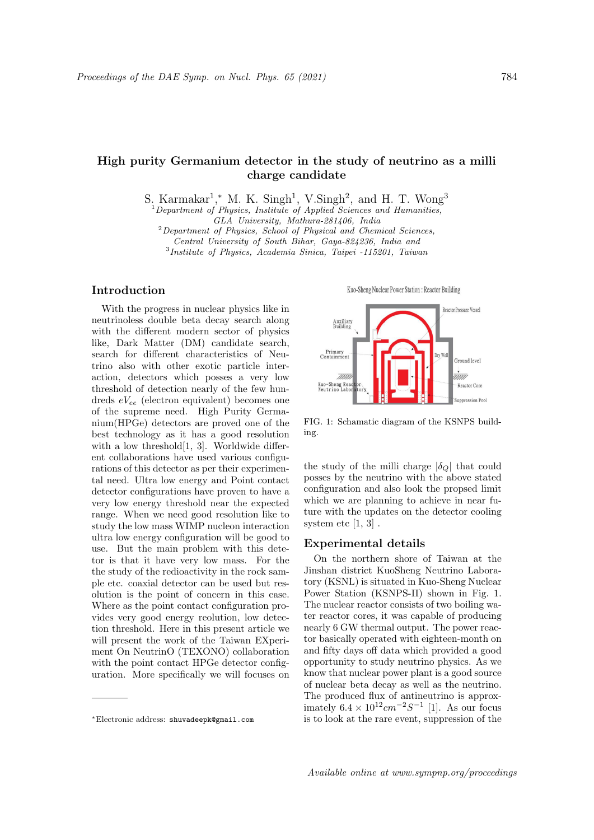# High purity Germanium detector in the study of neutrino as a milli charge candidate

S. Karmakar<sup>1</sup>,\* M. K. Singh<sup>1</sup>, V. Singh<sup>2</sup>, and H. T. Wong<sup>3</sup>

 $1$ Department of Physics, Institute of Applied Sciences and Humanities,

GLA University, Mathura-281406, India

 $2$ Department of Physics, School of Physical and Chemical Sciences, Central University of South Bihar, Gaya-824236, India and

3 Institute of Physics, Academia Sinica, Taipei -115201, Taiwan

# Introduction

With the progress in nuclear physics like in neutrinoless double beta decay search along with the different modern sector of physics like, Dark Matter (DM) candidate search, search for different characteristics of Neutrino also with other exotic particle interaction, detectors which posses a very low threshold of detection nearly of the few hundreds  $eV_{ee}$  (electron equivalent) becomes one of the supreme need. High Purity Germanium(HPGe) detectors are proved one of the best technology as it has a good resolution with a low threshold<sup>[1, 3]</sup>. Worldwide different collaborations have used various configurations of this detector as per their experimental need. Ultra low energy and Point contact detector configurations have proven to have a very low energy threshold near the expected range. When we need good resolution like to study the low mass WIMP nucleon interaction ultra low energy configuration will be good to use. But the main problem with this detetor is that it have very low mass. For the the study of the redioactivity in the rock sample etc. coaxial detector can be used but resolution is the point of concern in this case. Where as the point contact configuration provides very good energy reolution, low detection threshold. Here in this present article we will present the work of the Taiwan EXperiment On NeutrinO (TEXONO) collaboration with the point contact HPGe detector configuration. More specifically we will focuses on

Kuo-Sheng Nuclear Power Station: Reactor Building



FIG. 1: Schamatic diagram of the KSNPS building.

the study of the milli charge  $|\delta_{\mathcal{Q}}|$  that could posses by the neutrino with the above stated configuration and also look the propsed limit which we are planning to achieve in near future with the updates on the detector cooling system etc  $[1, 3]$ .

### Experimental details

On the northern shore of Taiwan at the Jinshan district KuoSheng Neutrino Laboratory (KSNL) is situated in Kuo-Sheng Nuclear Power Station (KSNPS-II) shown in Fig. 1. The nuclear reactor consists of two boiling water reactor cores, it was capable of producing nearly 6 GW thermal output. The power reactor basically operated with eighteen-month on and fifty days off data which provided a good opportunity to study neutrino physics. As we know that nuclear power plant is a good source of nuclear beta decay as well as the neutrino. The produced flux of antineutrino is approximately  $6.4 \times 10^{12} cm^{-2} S^{-1}$  [1]. As our focus is to look at the rare event, suppression of the

<sup>∗</sup>Electronic address: shuvadeepk@gmail.com